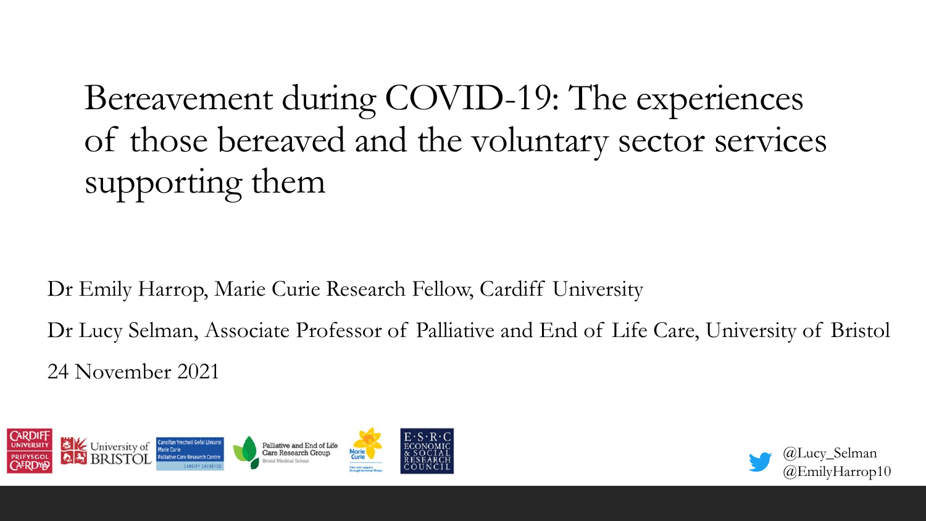Bereavement during COVID-19: The experiences of those bereaved and the voluntary sector services supporting them

Dr Emily Harrop, Marie Curie Research Fellow, Cardiff University

Dr Lucy Selman, Associate Professor of Palliative and End of Life Care, University of Bristol 24 November 2021



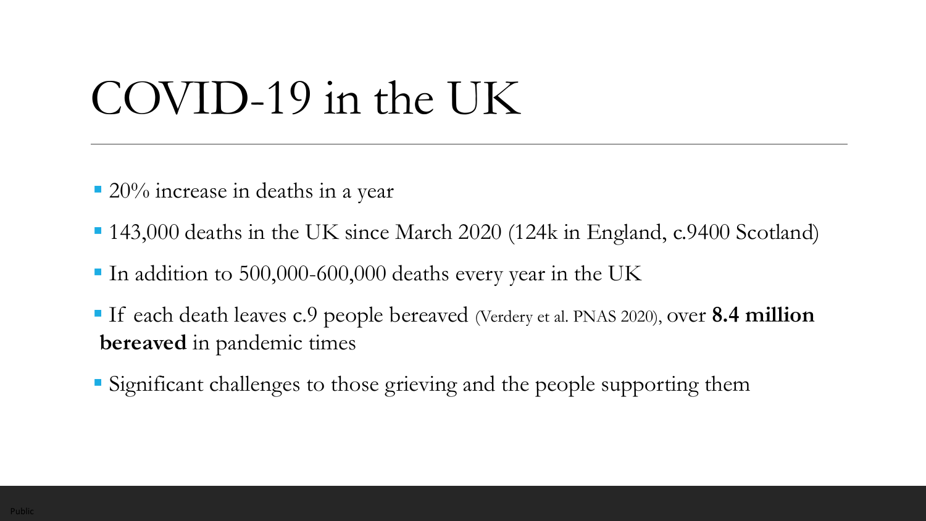# COVID-19 in the UK

- $\approx 20\%$  increase in deaths in a year
- 143,000 deaths in the UK since March 2020 (124k in England, c.9400 Scotland)
- In addition to 500,000-600,000 deaths every year in the UK
- If each death leaves c.9 people bereaved (Verdery et al. PNAS 2020), over **8.4 million bereaved** in pandemic times
- Significant challenges to those grieving and the people supporting them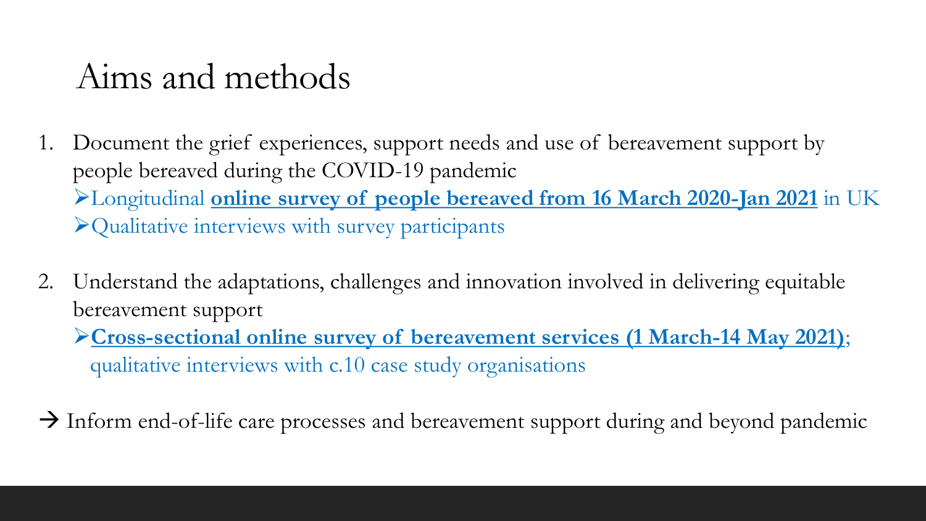#### Aims and methods

- 1. Document the grief experiences, support needs and use of bereavement support by people bereaved during the COVID-19 pandemic ➢Longitudinal **online survey of people bereaved from 16 March 2020-Jan 2021** in UK ➢Qualitative interviews with survey participants
- 2. Understand the adaptations, challenges and innovation involved in delivering equitable bereavement support

➢**Cross-sectional online survey of bereavement services (1 March-14 May 2021)**; qualitative interviews with c.10 case study organisations

 $\rightarrow$  Inform end-of-life care processes and bereavement support during and beyond pandemic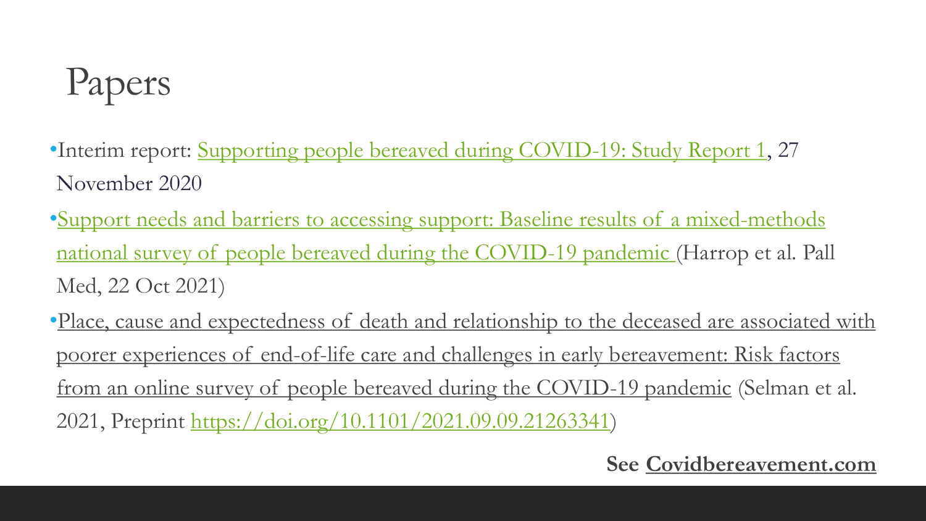# Papers

- •Interim report: [Supporting people bereaved during COVID-19: Study Report 1](https://2158a728-76d2-4aee-b2a8-646f37e9b97e.filesusr.com/ugd/26b83b_43690ce0978740548d92096c8c10ff7f.pdf), 27 November 2020
- •[Support needs and barriers to accessing support: Baseline results of a mixed-methods](https://journals.sagepub.com/doi/full/10.1177/02692163211043372) national survey of people bereaved during the COVID-19 pandemic (Harrop et al. Pall Med, 22 Oct 2021)
- •Place, cause and expectedness of death and relationship to the deceased are associated with poorer experiences of end-of-life care and challenges in early bereavement: Risk factors from an online survey of people bereaved during the COVID-19 pandemic (Selman et al. 2021, Preprint [https://doi.org/10.1101/2021.09.09.21263341\)](https://doi.org/10.1101/2021.09.09.21263341)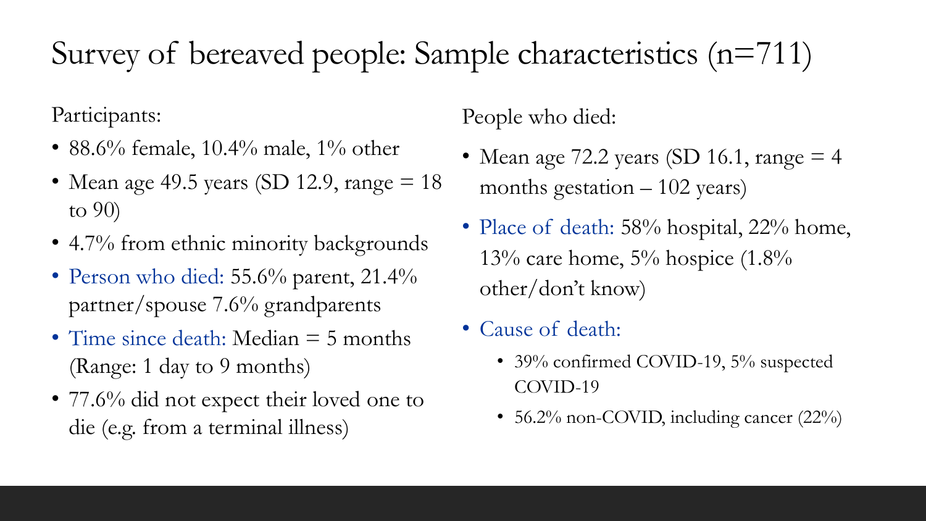#### Survey of bereaved people: Sample characteristics (n=711)

Participants:

- 88.6% female,  $10.4\%$  male,  $1\%$  other
- Mean age 49.5 years (SD 12.9, range  $= 18$ to 90)
- 4.7% from ethnic minority backgrounds
- Person who died: 55.6% parent, 21.4% partner/spouse 7.6% grandparents
- Time since death: Median = 5 months (Range: 1 day to 9 months)
- 77.6% did not expect their loved one to die (e.g. from a terminal illness)

People who died:

- Mean age 72.2 years (SD 16.1, range  $=$  4 months gestation  $-102$  years)
- Place of death: 58% hospital, 22% home, 13% care home,  $5%$  hospice  $(1.8%$ other/don't know)
- Cause of death:
	- 39% confirmed COVID-19, 5% suspected COVID-19
	- 56.2% non-COVID, including cancer (22%)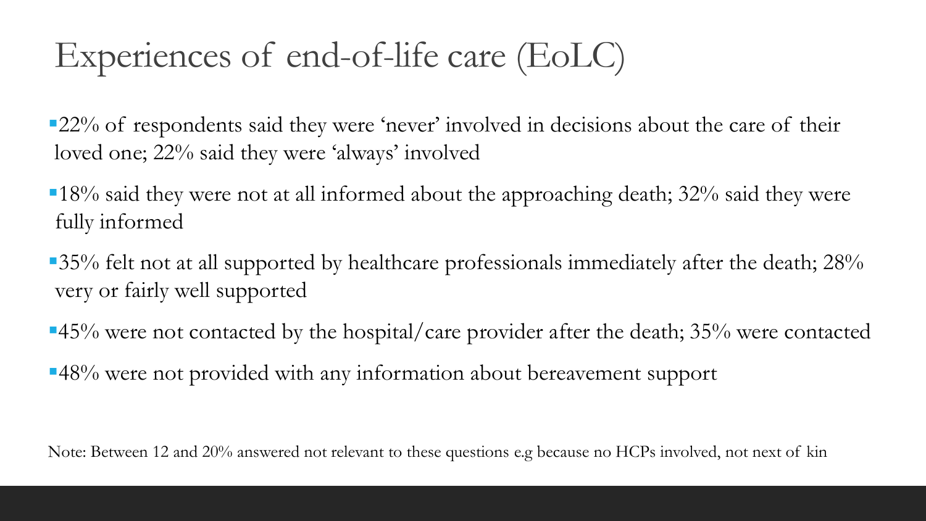### Experiences of end-of-life care (EoLC)

 $\sim$  22% of respondents said they were 'never' involved in decisions about the care of their loved one; 22% said they were 'always' involved

- $\sim$  18% said they were not at all informed about the approaching death; 32% said they were fully informed
- $\sim$  35% felt not at all supported by healthcare professionals immediately after the death; 28% very or fairly well supported
- $\sim$  45% were not contacted by the hospital/care provider after the death; 35% were contacted
- ▪48% were not provided with any information about bereavement support

Note: Between 12 and 20% answered not relevant to these questions e.g because no HCPs involved, not next of kin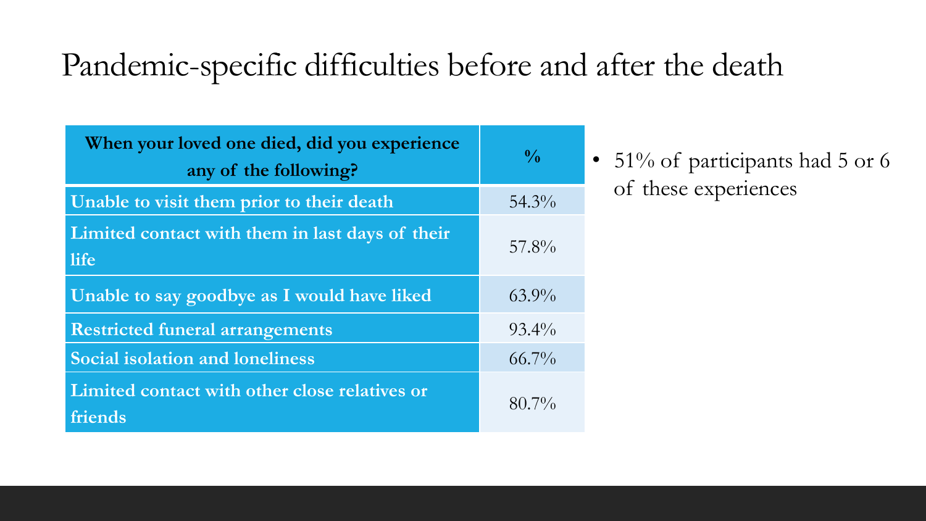#### Pandemic-specific difficulties before and after the death

| When your loved one died, did you experience<br>any of the following? | $\frac{0}{0}$ |
|-----------------------------------------------------------------------|---------------|
| Unable to visit them prior to their death                             | $54.3\%$      |
| Limited contact with them in last days of their<br>life               | $57.8\%$      |
| Unable to say goodbye as I would have liked                           | $63.9\%$      |
| <b>Restricted funeral arrangements</b>                                | $93.4\%$      |
| <b>Social isolation and loneliness</b>                                | $66.7\%$      |
| Limited contact with other close relatives or<br>friends              | $80.7\%$      |

• 51% of participants had 5 or 6 of these experiences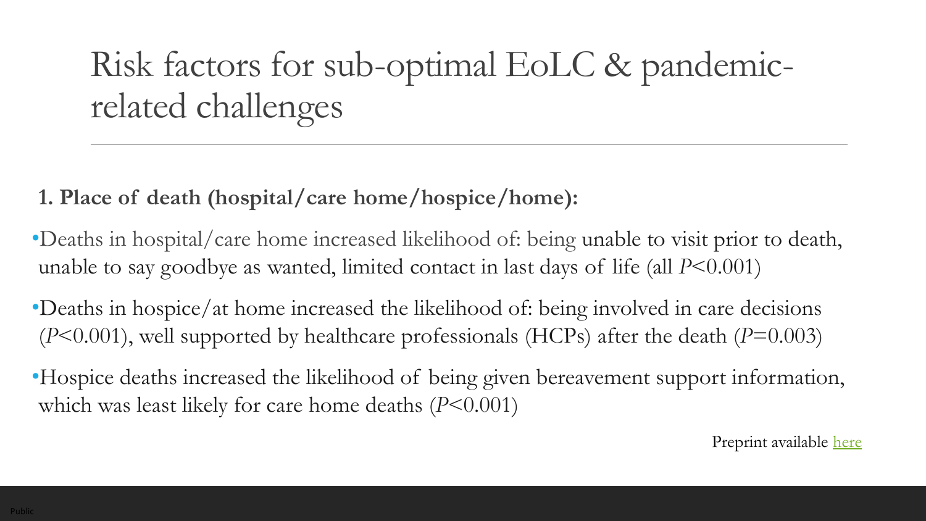### Risk factors for sub-optimal EoLC & pandemicrelated challenges

**1. Place of death (hospital/care home/hospice/home):** 

- •Deaths in hospital/care home increased likelihood of: being unable to visit prior to death, unable to say goodbye as wanted, limited contact in last days of life (all *P*<0.001)
- •Deaths in hospice/at home increased the likelihood of: being involved in care decisions (*P*<0.001), well supported by healthcare professionals (HCPs) after the death (*P*=0.003)
- •Hospice deaths increased the likelihood of being given bereavement support information, which was least likely for care home deaths (*P*<0.001)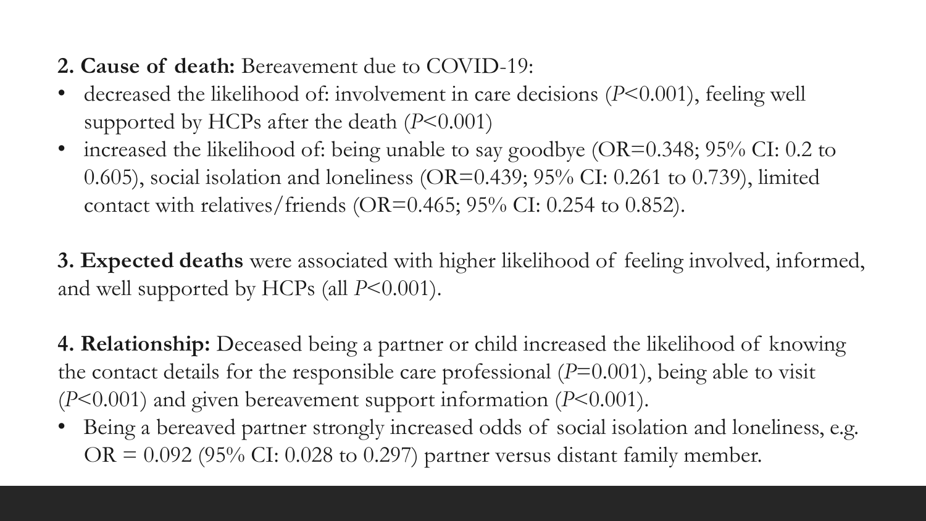#### **2. Cause of death:** Bereavement due to COVID-19:

- decreased the likelihood of: involvement in care decisions (*P*<0.001), feeling well supported by HCPs after the death (*P*<0.001)
- increased the likelihood of: being unable to say goodbye (OR=0.348; 95% CI: 0.2 to 0.605), social isolation and loneliness (OR=0.439;  $95\%$  CI: 0.261 to 0.739), limited contact with relatives/friends (OR=0.465;  $95\%$  CI: 0.254 to 0.852).

**3. Expected deaths** were associated with higher likelihood of feeling involved, informed, and well supported by HCPs (all  $P<0.001$ ).

**4. Relationship:** Deceased being a partner or child increased the likelihood of knowing the contact details for the responsible care professional (*P*=0.001), being able to visit (*P*<0.001) and given bereavement support information (*P*<0.001).

• Being a bereaved partner strongly increased odds of social isolation and loneliness, e.g. OR =  $0.092$  (95% CI: 0.028 to 0.297) partner versus distant family member.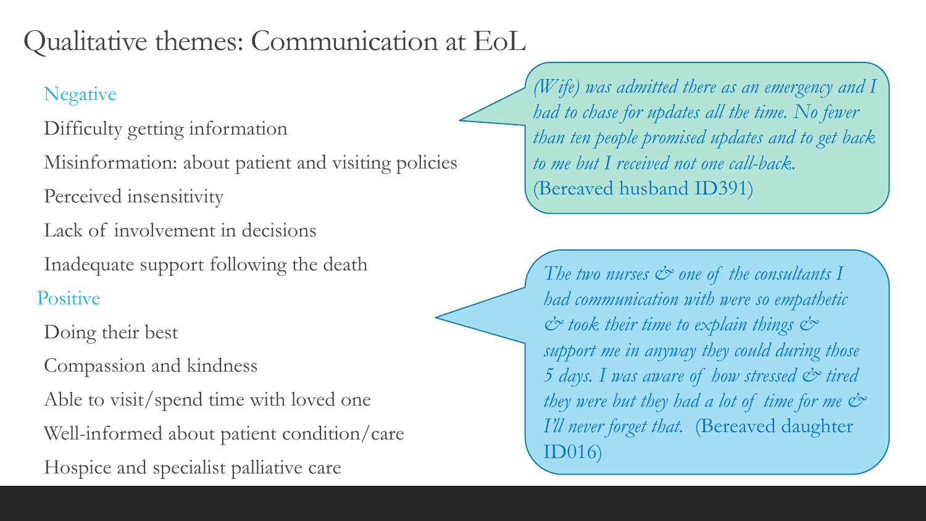#### Qualitative themes: Communication at EoL

#### Negative

- Difficulty getting information
- Misinformation: about patient and visiting policies
- Perceived insensitivity
- Lack of involvement in decisions
- Inadequate support following the death
- **Positive**
- Doing their best
- Compassion and kindness
- Able to visit/spend time with loved one
- Well-informed about patient condition/care
- Hospice and specialist palliative care

*(Wife) was admitted there as an emergency and I had to chase for updates all the time. No fewer than ten people promised updates and to get back to me but I received not one call-back.*  (Bereaved husband ID391)

*The two nurses*  $\&$  *one of the consultants I had communication with were so empathetic & took their time to explain things & support me in anyway they could during those 5 days. I was aware of how stressed & tired they were but they had a lot of time for me & I'll never forget that.* (Bereaved daughter ID016)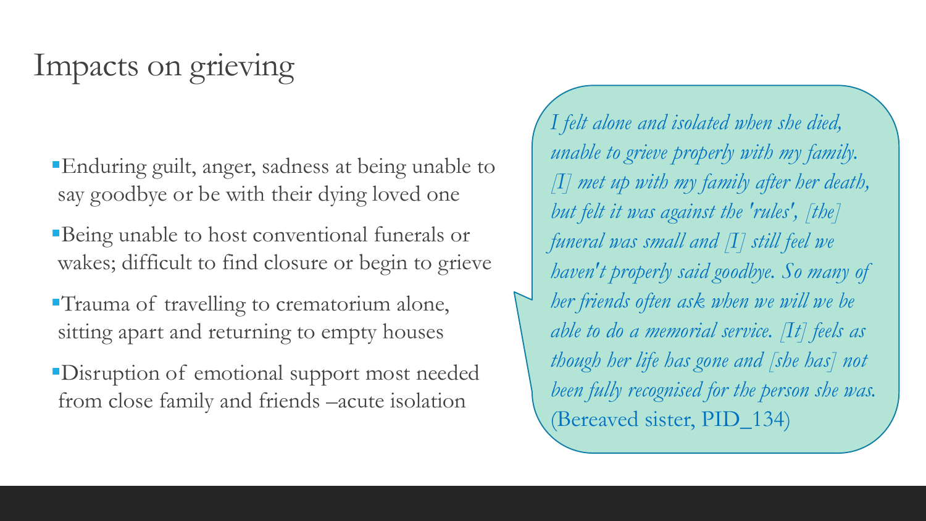#### Impacts on grieving

- **Enduring guilt, anger, sadness at being unable to** say goodbye or be with their dying loved one
- **Being unable to host conventional funerals or** wakes; difficult to find closure or begin to grieve
- ▪Trauma of travelling to crematorium alone, sitting apart and returning to empty houses
- ▪Disruption of emotional support most needed from close family and friends –acute isolation

*I felt alone and isolated when she died, unable to grieve properly with my family. [I] met up with my family after her death, but felt it was against the 'rules', [the] funeral was small and [I] still feel we haven't properly said goodbye. So many of her friends often ask when we will we be able to do a memorial service. [It] feels as though her life has gone and [she has] not been fully recognised for the person she was.*  (Bereaved sister, PID\_134)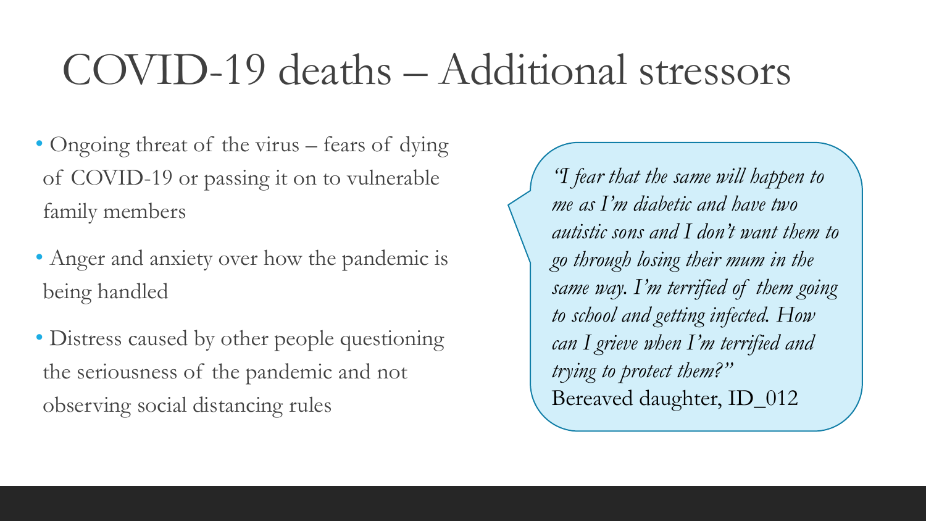# COVID-19 deaths – Additional stressors

- Ongoing threat of the virus fears of dying of COVID-19 or passing it on to vulnerable family members
- Anger and anxiety over how the pandemic is being handled
- Distress caused by other people questioning the seriousness of the pandemic and not observing social distancing rules

*"I fear that the same will happen to me as I'm diabetic and have two autistic sons and I don't want them to go through losing their mum in the same way. I'm terrified of them going to school and getting infected. How can I grieve when I'm terrified and trying to protect them?"*  Bereaved daughter, ID\_012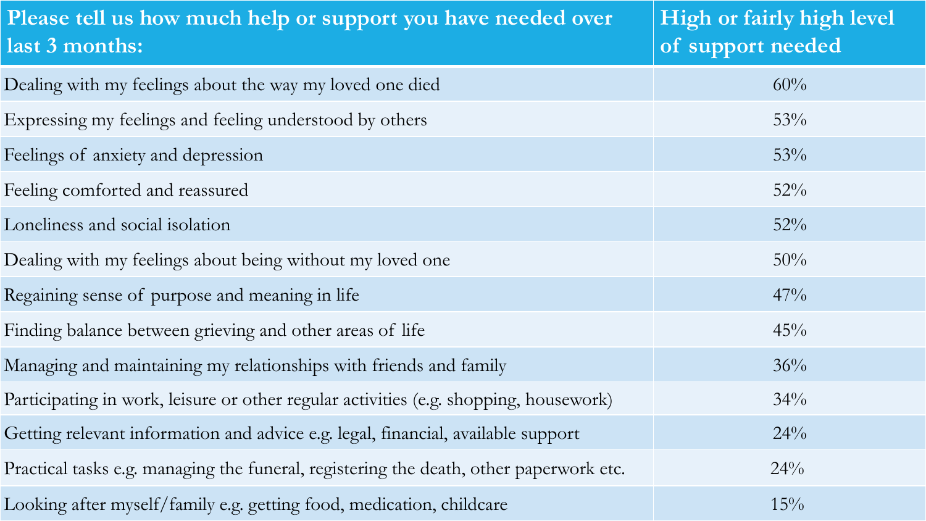| Please tell us how much help or support you have needed over<br>last 3 months:         | High or fairly high level<br>of support needed |
|----------------------------------------------------------------------------------------|------------------------------------------------|
| Dealing with my feelings about the way my loved one died                               | 60%                                            |
| Expressing my feelings and feeling understood by others                                | 53%                                            |
| Feelings of anxiety and depression                                                     | 53%                                            |
| Feeling comforted and reassured                                                        | $52\%$                                         |
| Loneliness and social isolation                                                        | $52\%$                                         |
| Dealing with my feelings about being without my loved one                              | $50\%$                                         |
| Regaining sense of purpose and meaning in life                                         | $47\%$                                         |
| Finding balance between grieving and other areas of life                               | 45%                                            |
| Managing and maintaining my relationships with friends and family                      | 36%                                            |
| Participating in work, leisure or other regular activities (e.g. shopping, housework)  | $34\%$                                         |
| Getting relevant information and advice e.g. legal, financial, available support       | $24\%$                                         |
| Practical tasks e.g. managing the funeral, registering the death, other paperwork etc. | 24%                                            |
| Looking after myself/family e.g. getting food, medication, childcare                   | 15%                                            |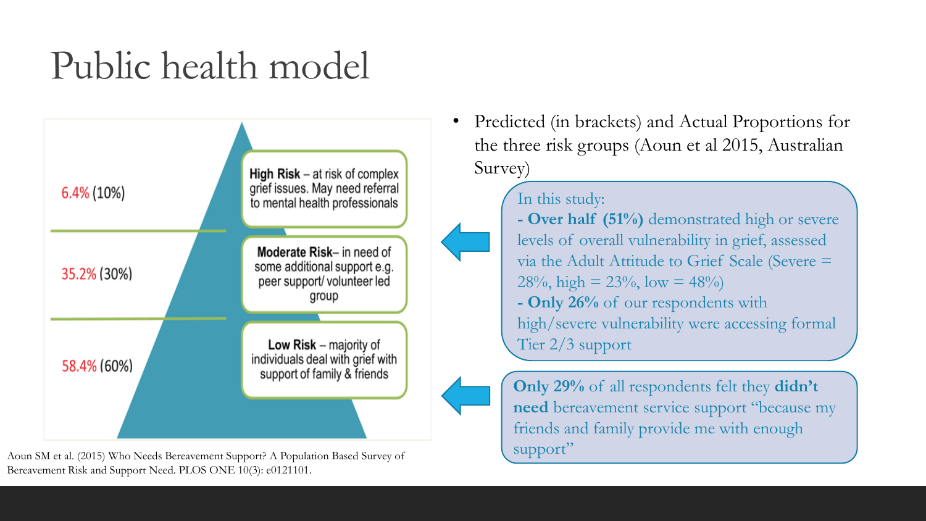### Public health model



Aoun SM et al. (2015) Who Needs Bereavement Support? A Population Based Survey of Bereavement Risk and Support Need. PLOS ONE 10(3): e0121101.

• Predicted (in brackets) and Actual Proportions for the three risk groups (Aoun et al 2015, Australian Survey)

#### In this study:

**- Over half (51%)** demonstrated high or severe levels of overall vulnerability in grief, assessed via the Adult Attitude to Grief Scale (Severe =  $28\%$ , high =  $23\%$ , low =  $48\%$ **- Only 26%** of our respondents with high/severe vulnerability were accessing formal Tier 2/3 support

**Only 29%** of all respondents felt they **didn't need** bereavement service support "because my friends and family provide me with enough support"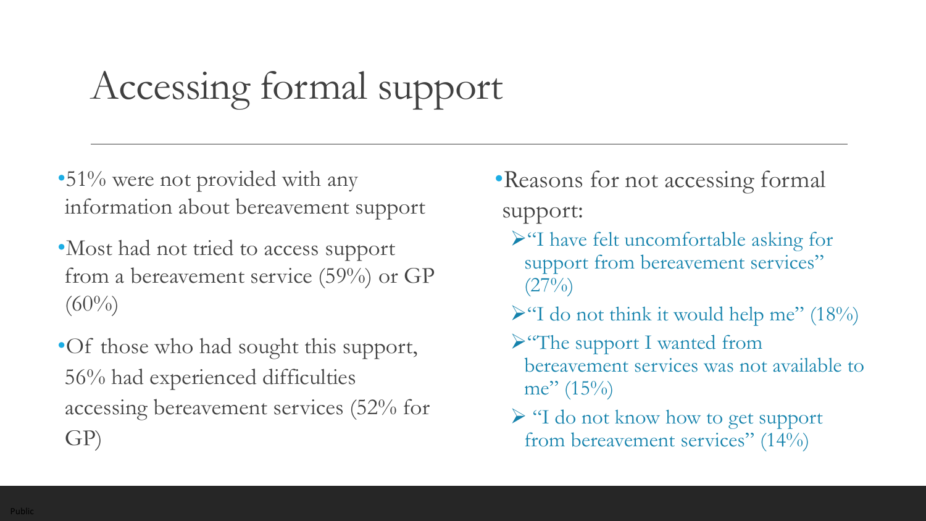# Accessing formal support

•51% were not provided with any information about bereavement support

- •Most had not tried to access support from a bereavement service (59%) or GP  $(60\%)$
- •Of those who had sought this support, 56% had experienced difficulties accessing bereavement services (52% for GP)
- •Reasons for not accessing formal support:
	- ➢"I have felt uncomfortable asking for support from bereavement services"  $(27\%)$
	- $\blacktriangleright$  "I do not think it would help me" (18%)
	- ➢"The support I wanted from bereavement services was not available to me"  $(15\%)$
	- ➢ "I do not know how to get support from bereavement services" (14%)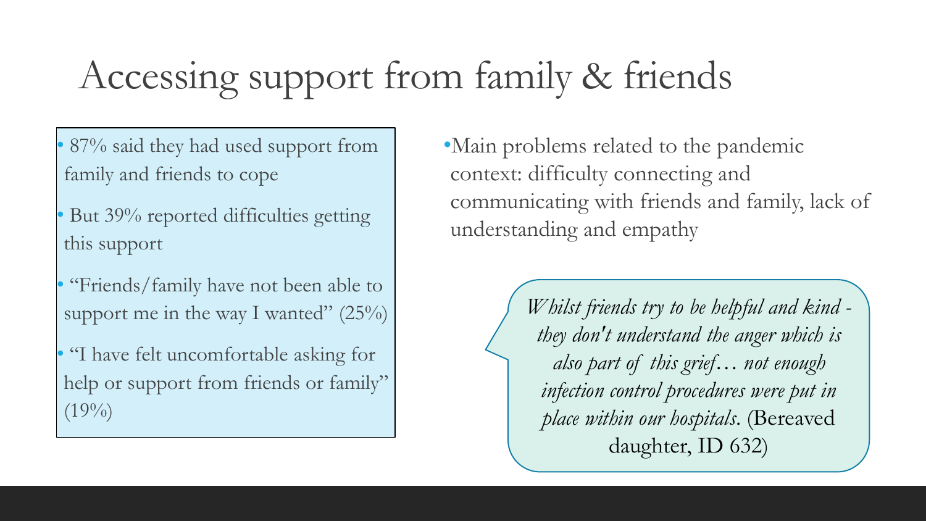# Accessing support from family & friends

- 87% said they had used support from family and friends to cope
- But 39% reported difficulties getting this support
- "Friends/family have not been able to support me in the way I wanted"  $(25\%)$
- "I have felt uncomfortable asking for help or support from friends or family"  $(19\%)$

•Main problems related to the pandemic context: difficulty connecting and communicating with friends and family, lack of understanding and empathy

> *Whilst friends try to be helpful and kind they don't understand the anger which is also part of this grief… not enough infection control procedures were put in place within our hospitals*. (Bereaved daughter, ID 632)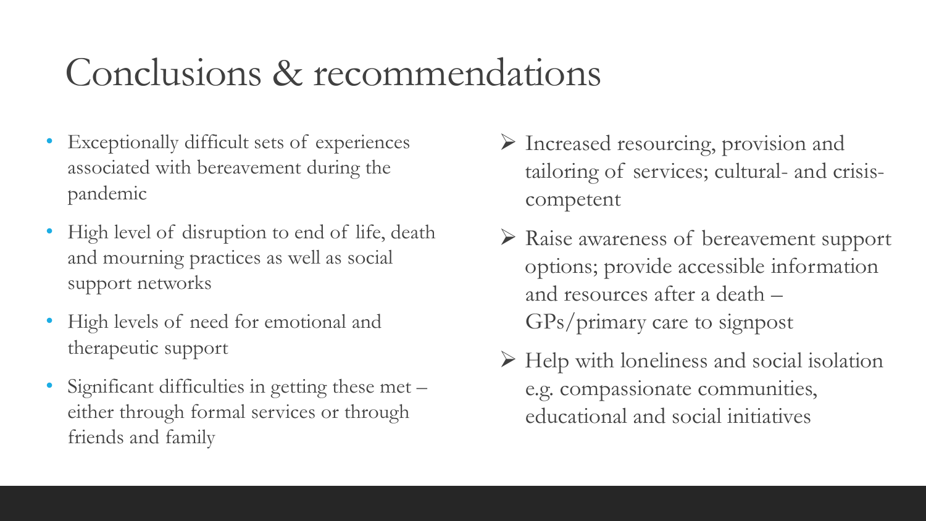### Conclusions & recommendations

- Exceptionally difficult sets of experiences associated with bereavement during the pandemic
- High level of disruption to end of life, death and mourning practices as well as social support networks
- High levels of need for emotional and therapeutic support
- Significant difficulties in getting these met either through formal services or through friends and family
- ➢ Increased resourcing, provision and tailoring of services; cultural- and crisiscompetent
- ➢ Raise awareness of bereavement support options; provide accessible information and resources after a death – GPs/primary care to signpost
- ➢ Help with loneliness and social isolation e.g. compassionate communities, educational and social initiatives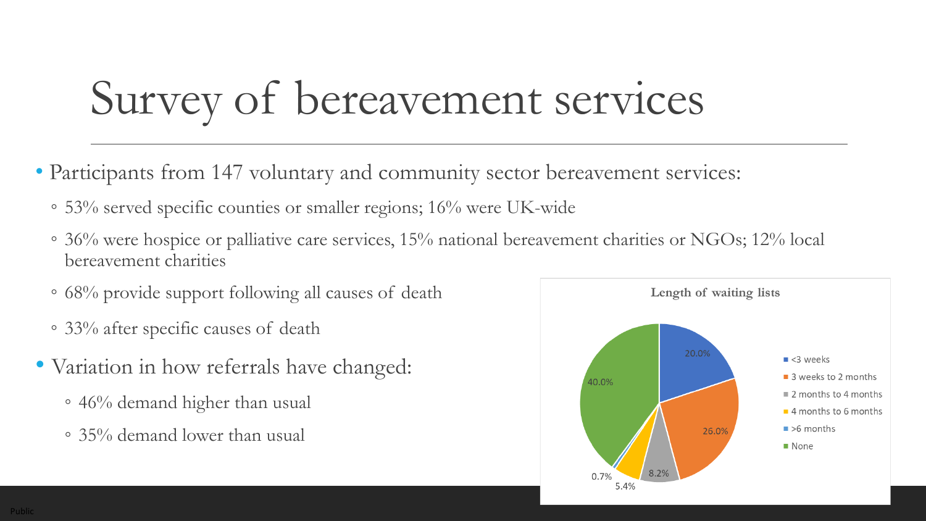# Survey of bereavement services

- Participants from 147 voluntary and community sector bereavement services:
	- 53% served specific counties or smaller regions; 16% were UK-wide
	- 36% were hospice or palliative care services, 15% national bereavement charities or NGOs; 12% local bereavement charities
	- 68% provide support following all causes of death
	- 33% after specific causes of death
- Variation in how referrals have changed:
	- 46% demand higher than usual
	- 35% demand lower than usual

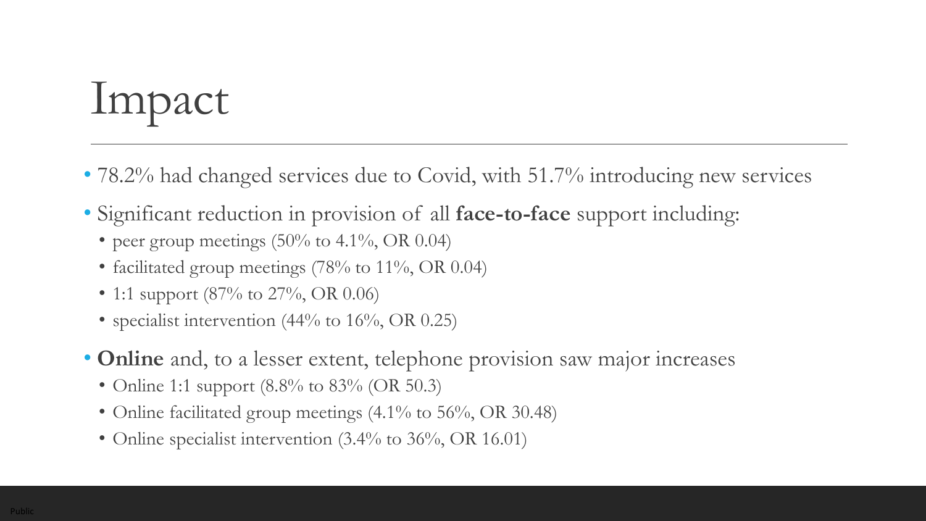# Impact

- 78.2% had changed services due to Covid, with 51.7% introducing new services
- Significant reduction in provision of all **face-to-face** support including:
	- peer group meetings  $(50\% \text{ to } 4.1\%, \text{ OR } 0.04)$
	- facilitated group meetings  $(78\%$  to  $11\%, \text{OR } 0.04)$
	- 1:1 support (87% to 27%, OR 0.06)
	- specialist intervention (44% to 16%, OR 0.25)
- **Online** and, to a lesser extent, telephone provision saw major increases
	- Online 1:1 support  $(8.8\% \text{ to } 83\% \text{ (OR } 50.3))$
	- Online facilitated group meetings (4.1% to 56%, OR 30.48)
	- Online specialist intervention (3.4% to 36%, OR 16.01)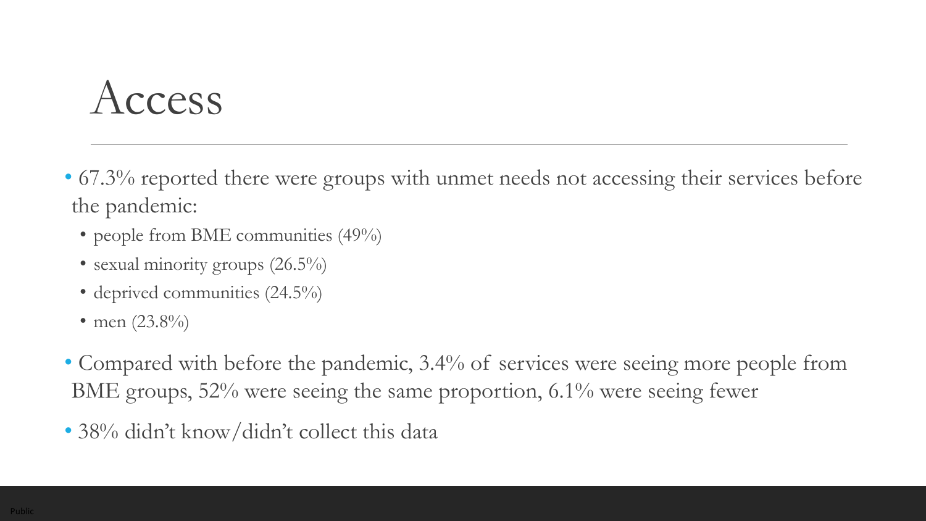# Access

- 67.3% reported there were groups with unmet needs not accessing their services before the pandemic:
	- people from BME communities (49%)
	- sexual minority groups (26.5%)
	- deprived communities (24.5%)
	- men  $(23.8\%)$
- Compared with before the pandemic, 3.4% of services were seeing more people from BME groups, 52% were seeing the same proportion, 6.1% were seeing fewer
- 38% didn't know/didn't collect this data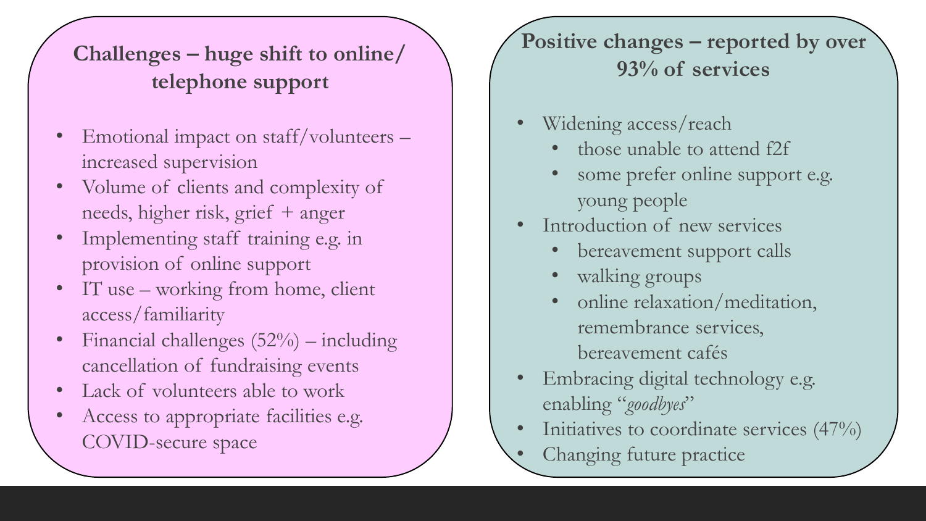#### **Challenges – huge shift to online/ telephone support**

- Emotional impact on staff/volunteers increased supervision
- Volume of clients and complexity of needs, higher risk, grief + anger
- Implementing staff training e.g. in provision of online support
- IT use working from home, client access/familiarity
- Financial challenges  $(52%)$  including cancellation of fundraising events
- Lack of volunteers able to work
- Access to appropriate facilities e.g. COVID-secure space

#### **Positive changes – reported by over 93% of services**

- Widening access/reach
	- those unable to attend f2f
	- some prefer online support e.g. young people
- Introduction of new services
	- bereavement support calls
	- walking groups
	- online relaxation/meditation, remembrance services, bereavement cafés
- Embracing digital technology e.g. enabling "*goodbyes*"
- Initiatives to coordinate services (47%)
	- Changing future practice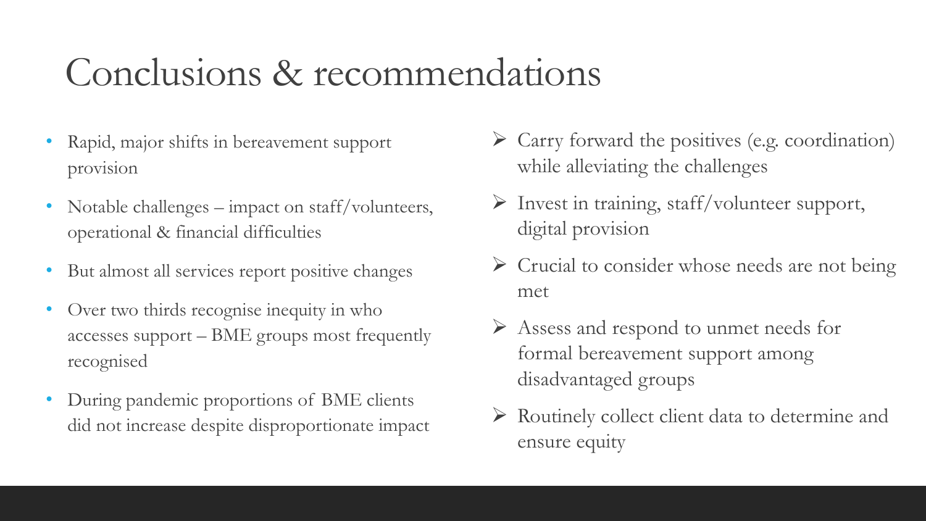### Conclusions & recommendations

- Rapid, major shifts in bereavement support provision
- Notable challenges impact on staff/volunteers, operational & financial difficulties
- But almost all services report positive changes
- Over two thirds recognise inequity in who accesses support – BME groups most frequently recognised
- During pandemic proportions of BME clients did not increase despite disproportionate impact
- ➢ Carry forward the positives (e.g. coordination) while alleviating the challenges
- ➢ Invest in training, staff/volunteer support, digital provision
- ➢ Crucial to consider whose needs are not being met
- ➢ Assess and respond to unmet needs for formal bereavement support among disadvantaged groups
- ➢ Routinely collect client data to determine and ensure equity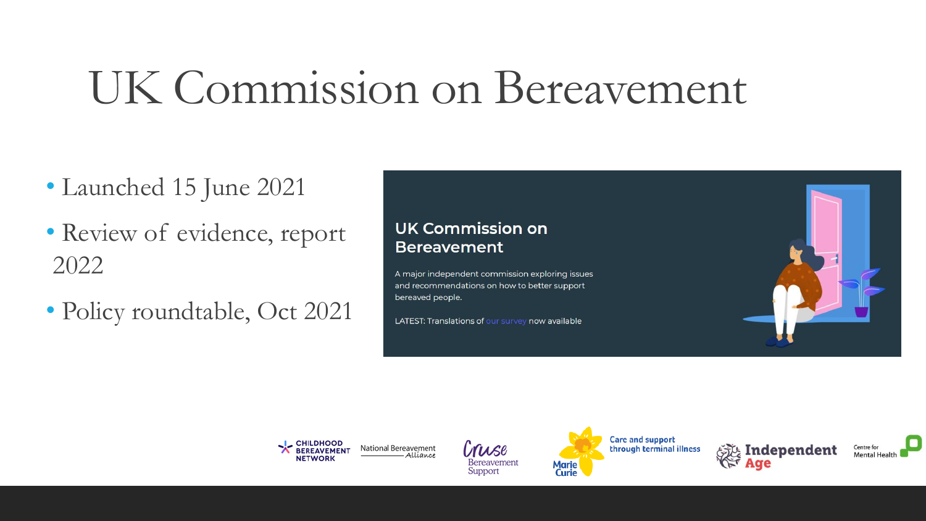# UK Commission on Bereavement

- Launched 15 June 2021
- Review of evidence, report 2022
- Policy roundtable, Oct 2021











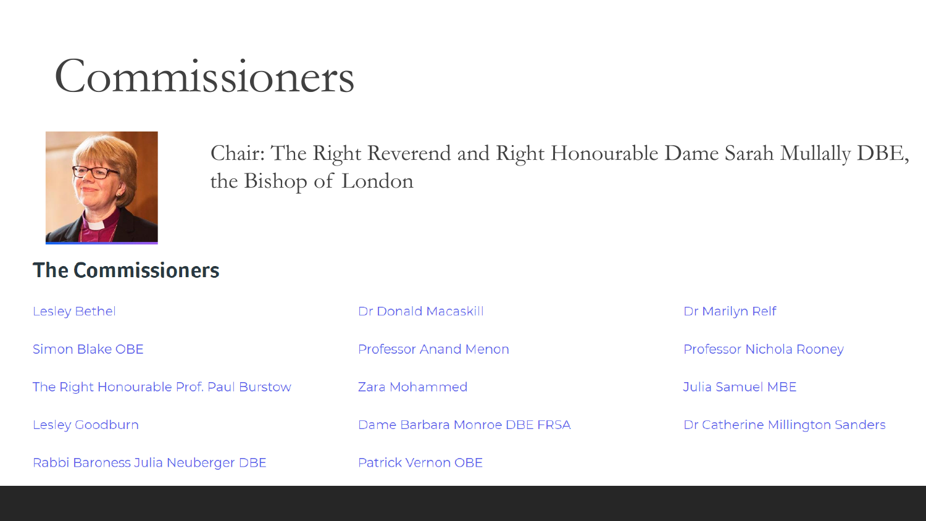# Commissioners



Chair: The Right Reverend and Right Honourable Dame Sarah Mullally DBE, the Bishop of London

#### **The Commissioners**

**Lesley Bethel** 

Simon Blake OBE

The Right Honourable Prof. Paul Burstow

**Lesley Goodburn** 

Rabbi Baroness Julia Neuberger DBE

Dr Donald Macaskill

**Professor Anand Menon** 

Zara Mohammed

Dame Barbara Monroe DBE FRSA

**Patrick Vernon OBE** 

Dr Marilyn Relf

Professor Nichola Rooney

**Julia Samuel MBE** 

Dr Catherine Millington Sanders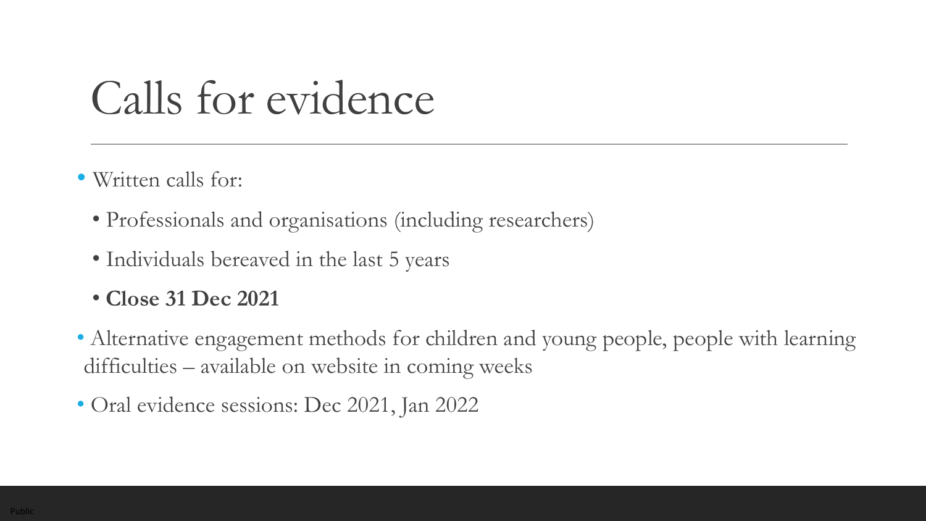# Calls for evidence

- Written calls for:
	- Professionals and organisations (including researchers)
	- Individuals bereaved in the last 5 years
	- **Close 31 Dec 2021**
- Alternative engagement methods for children and young people, people with learning difficulties – available on website in coming weeks
- Oral evidence sessions: Dec 2021, Jan 2022